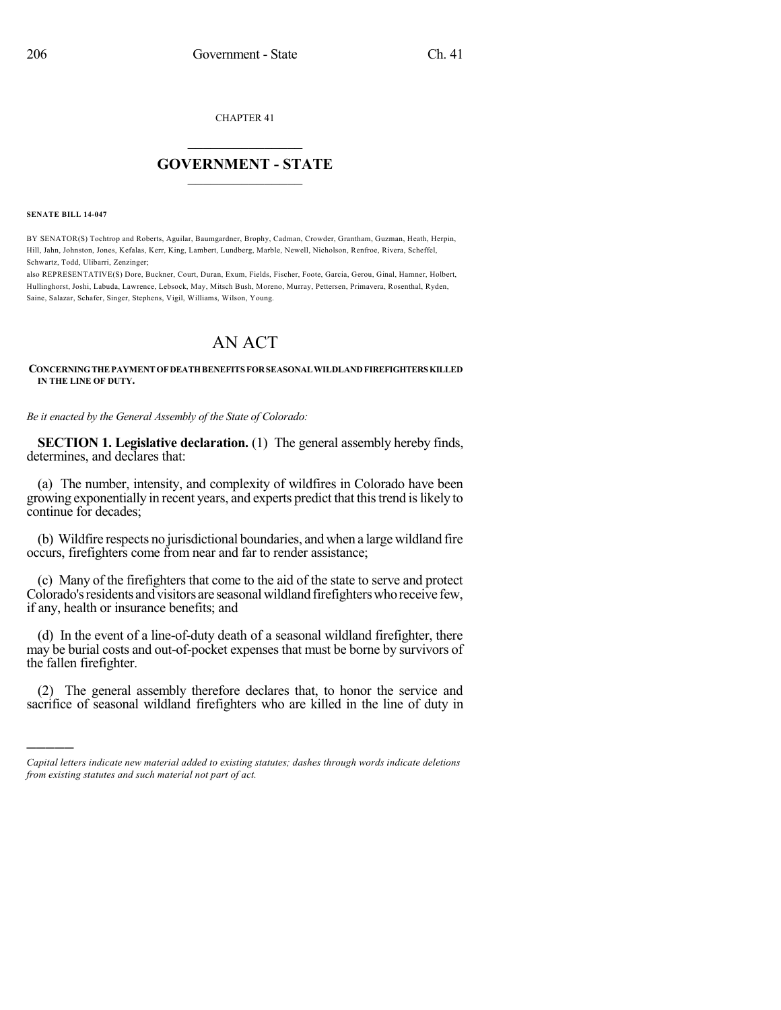CHAPTER 41

## $\mathcal{L}_\text{max}$  . The set of the set of the set of the set of the set of the set of the set of the set of the set of the set of the set of the set of the set of the set of the set of the set of the set of the set of the set **GOVERNMENT - STATE**  $\_$   $\_$   $\_$   $\_$   $\_$   $\_$   $\_$   $\_$   $\_$

**SENATE BILL 14-047**

)))))

BY SENATOR(S) Tochtrop and Roberts, Aguilar, Baumgardner, Brophy, Cadman, Crowder, Grantham, Guzman, Heath, Herpin, Hill, Jahn, Johnston, Jones, Kefalas, Kerr, King, Lambert, Lundberg, Marble, Newell, Nicholson, Renfroe, Rivera, Scheffel, Schwartz, Todd, Ulibarri, Zenzinger;

also REPRESENTATIVE(S) Dore, Buckner, Court, Duran, Exum, Fields, Fischer, Foote, Garcia, Gerou, Ginal, Hamner, Holbert, Hullinghorst, Joshi, Labuda, Lawrence, Lebsock, May, Mitsch Bush, Moreno, Murray, Pettersen, Primavera, Rosenthal, Ryden, Saine, Salazar, Schafer, Singer, Stephens, Vigil, Williams, Wilson, Young.

## AN ACT

## **CONCERNINGTHEPAYMENTOFDEATHBENEFITS FORSEASONALWILDLANDFIREFIGHTERSKILLED IN THE LINE OF DUTY.**

*Be it enacted by the General Assembly of the State of Colorado:*

**SECTION 1. Legislative declaration.** (1) The general assembly hereby finds, determines, and declares that:

(a) The number, intensity, and complexity of wildfires in Colorado have been growing exponentially in recent years, and experts predict that thistrend islikely to continue for decades;

(b) Wildfire respects no jurisdictional boundaries, and when a large wildland fire occurs, firefighters come from near and far to render assistance;

(c) Many of the firefighters that come to the aid of the state to serve and protect Colorado's residents and visitors are seasonal wildland firefighters who receive few, if any, health or insurance benefits; and

(d) In the event of a line-of-duty death of a seasonal wildland firefighter, there may be burial costs and out-of-pocket expenses that must be borne by survivors of the fallen firefighter.

(2) The general assembly therefore declares that, to honor the service and sacrifice of seasonal wildland firefighters who are killed in the line of duty in

*Capital letters indicate new material added to existing statutes; dashes through words indicate deletions from existing statutes and such material not part of act.*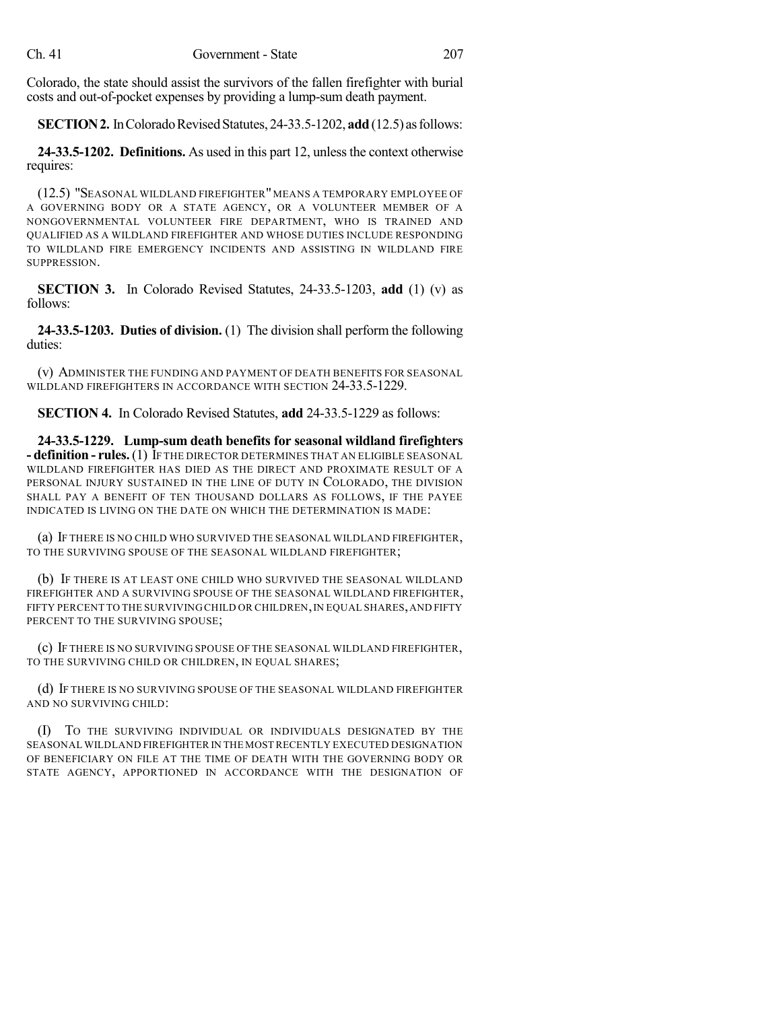Colorado, the state should assist the survivors of the fallen firefighter with burial costs and out-of-pocket expenses by providing a lump-sum death payment.

**SECTION 2.** In Colorado Revised Statutes, 24-33.5-1202, **add**(12.5) as follows:

**24-33.5-1202. Definitions.** As used in this part 12, unless the context otherwise requires:

(12.5) "SEASONAL WILDLAND FIREFIGHTER" MEANS A TEMPORARY EMPLOYEE OF A GOVERNING BODY OR A STATE AGENCY, OR A VOLUNTEER MEMBER OF A NONGOVERNMENTAL VOLUNTEER FIRE DEPARTMENT, WHO IS TRAINED AND QUALIFIED AS A WILDLAND FIREFIGHTER AND WHOSE DUTIES INCLUDE RESPONDING TO WILDLAND FIRE EMERGENCY INCIDENTS AND ASSISTING IN WILDLAND FIRE SUPPRESSION.

**SECTION 3.** In Colorado Revised Statutes, 24-33.5-1203, **add** (1) (v) as follows:

**24-33.5-1203. Duties of division.** (1) The division shall perform the following duties:

(v) ADMINISTER THE FUNDING AND PAYMENT OF DEATH BENEFITS FOR SEASONAL WILDLAND FIREFIGHTERS IN ACCORDANCE WITH SECTION 24-33.5-1229.

**SECTION 4.** In Colorado Revised Statutes, **add** 24-33.5-1229 as follows:

**24-33.5-1229. Lump-sum death benefits for seasonal wildland firefighters - definition - rules.**(1) IF THE DIRECTOR DETERMINES THAT AN ELIGIBLE SEASONAL WILDLAND FIREFIGHTER HAS DIED AS THE DIRECT AND PROXIMATE RESULT OF A PERSONAL INJURY SUSTAINED IN THE LINE OF DUTY IN COLORADO, THE DIVISION SHALL PAY A BENEFIT OF TEN THOUSAND DOLLARS AS FOLLOWS, IF THE PAYEE INDICATED IS LIVING ON THE DATE ON WHICH THE DETERMINATION IS MADE:

(a) IF THERE IS NO CHILD WHO SURVIVED THE SEASONAL WILDLAND FIREFIGHTER, TO THE SURVIVING SPOUSE OF THE SEASONAL WILDLAND FIREFIGHTER;

(b) IF THERE IS AT LEAST ONE CHILD WHO SURVIVED THE SEASONAL WILDLAND FIREFIGHTER AND A SURVIVING SPOUSE OF THE SEASONAL WILDLAND FIREFIGHTER, FIFTY PERCENT TO THE SURVIVING CHILD OR CHILDREN, IN EQUAL SHARES, AND FIFTY PERCENT TO THE SURVIVING SPOUSE;

(c) IF THERE IS NO SURVIVING SPOUSE OF THE SEASONAL WILDLAND FIREFIGHTER, TO THE SURVIVING CHILD OR CHILDREN, IN EQUAL SHARES;

(d) IF THERE IS NO SURVIVING SPOUSE OF THE SEASONAL WILDLAND FIREFIGHTER AND NO SURVIVING CHILD:

(I) TO THE SURVIVING INDIVIDUAL OR INDIVIDUALS DESIGNATED BY THE SEASONAL WILDLAND FIREFIGHTER IN THE MOST RECENTLY EXECUTED DESIGNATION OF BENEFICIARY ON FILE AT THE TIME OF DEATH WITH THE GOVERNING BODY OR STATE AGENCY, APPORTIONED IN ACCORDANCE WITH THE DESIGNATION OF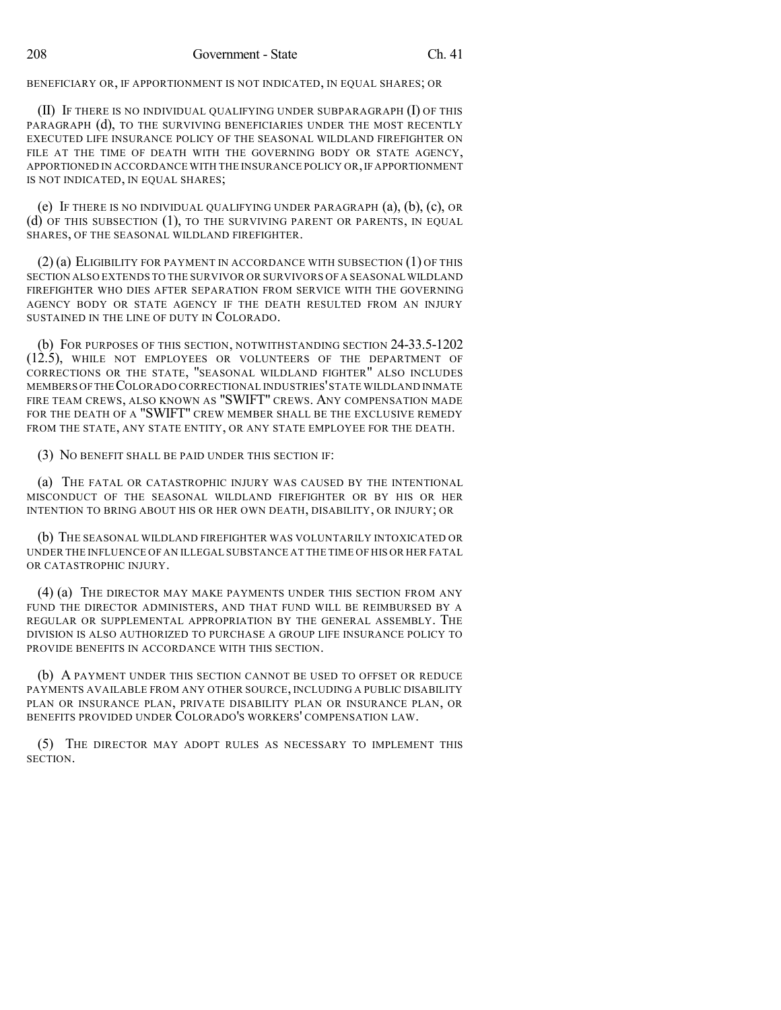BENEFICIARY OR, IF APPORTIONMENT IS NOT INDICATED, IN EQUAL SHARES; OR

(II) IF THERE IS NO INDIVIDUAL QUALIFYING UNDER SUBPARAGRAPH (I) OF THIS PARAGRAPH (d), TO THE SURVIVING BENEFICIARIES UNDER THE MOST RECENTLY EXECUTED LIFE INSURANCE POLICY OF THE SEASONAL WILDLAND FIREFIGHTER ON FILE AT THE TIME OF DEATH WITH THE GOVERNING BODY OR STATE AGENCY, APPORTIONED IN ACCORDANCE WITH THE INSURANCE POLICY OR, IF APPORTIONMENT IS NOT INDICATED, IN EQUAL SHARES;

(e) IF THERE IS NO INDIVIDUAL QUALIFYING UNDER PARAGRAPH  $(a)$ ,  $(b)$ ,  $(c)$ , OR (d) OF THIS SUBSECTION (1), TO THE SURVIVING PARENT OR PARENTS, IN EQUAL SHARES, OF THE SEASONAL WILDLAND FIREFIGHTER.

(2) (a) ELIGIBILITY FOR PAYMENT IN ACCORDANCE WITH SUBSECTION (1) OF THIS SECTION ALSO EXTENDS TO THE SURVIVOR OR SURVIVORS OF A SEASONAL WILDLAND FIREFIGHTER WHO DIES AFTER SEPARATION FROM SERVICE WITH THE GOVERNING AGENCY BODY OR STATE AGENCY IF THE DEATH RESULTED FROM AN INJURY SUSTAINED IN THE LINE OF DUTY IN COLORADO.

(b) FOR PURPOSES OF THIS SECTION, NOTWITHSTANDING SECTION 24-33.5-1202 (12.5), WHILE NOT EMPLOYEES OR VOLUNTEERS OF THE DEPARTMENT OF CORRECTIONS OR THE STATE, "SEASONAL WILDLAND FIGHTER" ALSO INCLUDES MEMBERS OFTHECOLORADO CORRECTIONAL INDUSTRIES'STATE WILDLAND INMATE FIRE TEAM CREWS, ALSO KNOWN AS "SWIFT" CREWS. ANY COMPENSATION MADE FOR THE DEATH OF A "SWIFT" CREW MEMBER SHALL BE THE EXCLUSIVE REMEDY FROM THE STATE, ANY STATE ENTITY, OR ANY STATE EMPLOYEE FOR THE DEATH.

(3) NO BENEFIT SHALL BE PAID UNDER THIS SECTION IF:

(a) THE FATAL OR CATASTROPHIC INJURY WAS CAUSED BY THE INTENTIONAL MISCONDUCT OF THE SEASONAL WILDLAND FIREFIGHTER OR BY HIS OR HER INTENTION TO BRING ABOUT HIS OR HER OWN DEATH, DISABILITY, OR INJURY; OR

(b) THE SEASONAL WILDLAND FIREFIGHTER WAS VOLUNTARILY INTOXICATED OR UNDER THE INFLUENCE OF AN ILLEGAL SUBSTANCE AT THE TIME OF HIS OR HER FATAL OR CATASTROPHIC INJURY.

(4) (a) THE DIRECTOR MAY MAKE PAYMENTS UNDER THIS SECTION FROM ANY FUND THE DIRECTOR ADMINISTERS, AND THAT FUND WILL BE REIMBURSED BY A REGULAR OR SUPPLEMENTAL APPROPRIATION BY THE GENERAL ASSEMBLY. THE DIVISION IS ALSO AUTHORIZED TO PURCHASE A GROUP LIFE INSURANCE POLICY TO PROVIDE BENEFITS IN ACCORDANCE WITH THIS SECTION.

(b) A PAYMENT UNDER THIS SECTION CANNOT BE USED TO OFFSET OR REDUCE PAYMENTS AVAILABLE FROM ANY OTHER SOURCE, INCLUDING A PUBLIC DISABILITY PLAN OR INSURANCE PLAN, PRIVATE DISABILITY PLAN OR INSURANCE PLAN, OR BENEFITS PROVIDED UNDER COLORADO'S WORKERS' COMPENSATION LAW.

(5) THE DIRECTOR MAY ADOPT RULES AS NECESSARY TO IMPLEMENT THIS SECTION.